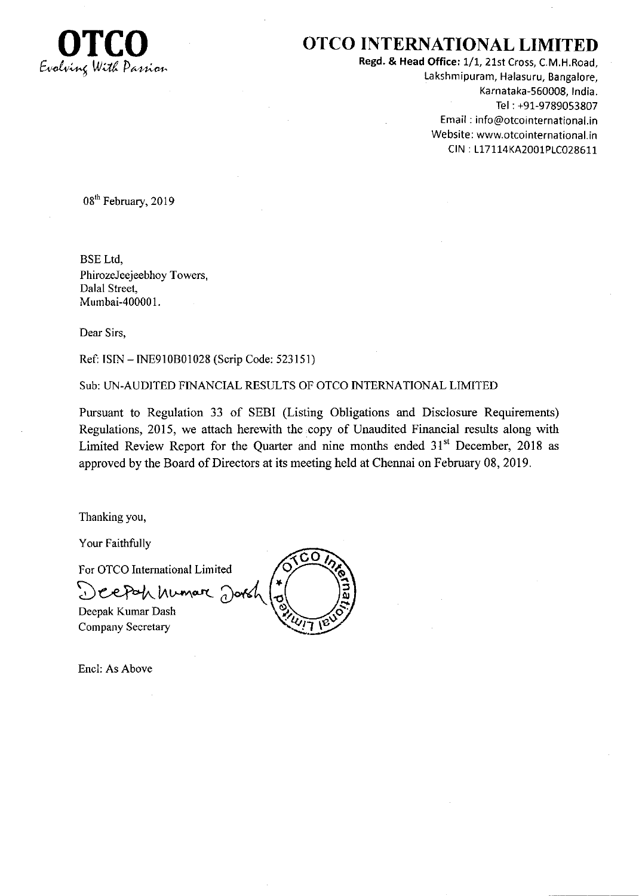

## OTCO INTERNATIONAL LIMITED

Regd. & Head Office: 1/1, 21st Cross, C.M.H.Road, Lakshmipuram, Halasuru, Bangalore, Karnataka-560009, tndia. Tel : +91-97890S3807 Email : info@otcointernational.in Website: www.otcointernational.in CIN : 117114KA2001P1C028611

08<sup>th</sup> February, 2019

BSE Ltd, PhirozeJeejeebhoy Towers, Dalal Street, Mumbai-400001.

Dear Sirs,

Ref: ISIN - INE910B01028 (Scrip Code: 523151)

Sub: UN-AUDITED FINANCIAL RESULTS OF OTCO INTERNATIONAL LIMITED

Pursuant to Regulation 33 of SEBI (Listing Obligations and Disclosure Requirements) Regulations, 2015, we attach herewith the copy of Unaudited Financial results along with Limited Review Report for the Quarter and nine months ended  $31<sup>st</sup>$  December, 2018 as approved by the Board of Directors at its meeting held at Chennai on February 08, 2019.

Thanking you,

Your Faithfully

For OTCO Intemational Limited

Deepah numar Dorsh

Deepak Kumar Dash Company Secretary



Encl: As Above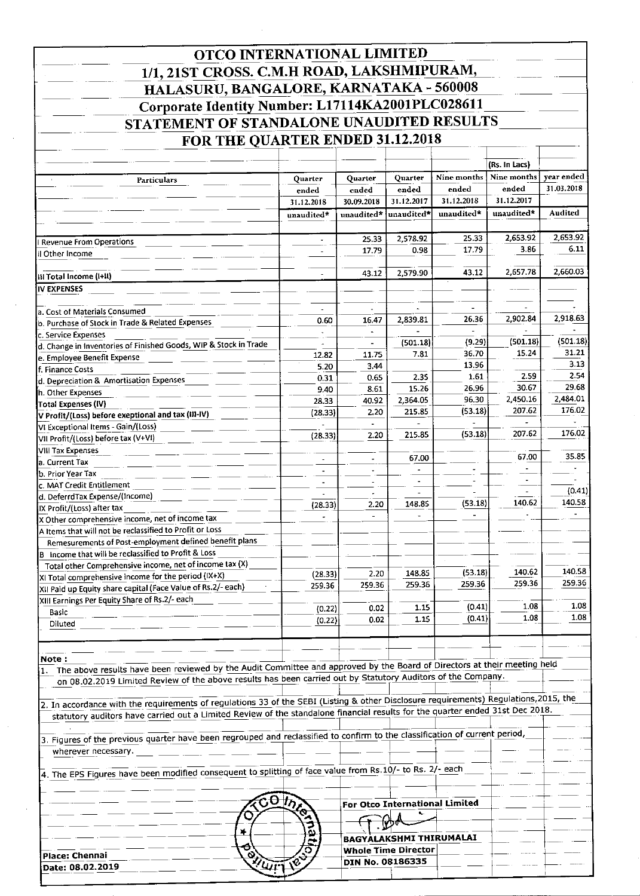| OTCO INTERNATIONAL LIMITED                                                                                                                                                                                                                  |                          |                          |                            |                                |                     |               |
|---------------------------------------------------------------------------------------------------------------------------------------------------------------------------------------------------------------------------------------------|--------------------------|--------------------------|----------------------------|--------------------------------|---------------------|---------------|
| 1/1, 21ST CROSS. C.M.H ROAD, LAKSHMIPURAM,                                                                                                                                                                                                  |                          |                          |                            |                                |                     |               |
| HALASURU, BANGALORE, KARNATAKA - 560008                                                                                                                                                                                                     |                          |                          |                            |                                |                     |               |
| Corporate Identity Number: L17114KA2001PLC028611                                                                                                                                                                                            |                          |                          |                            |                                |                     |               |
| STATEMENT OF STANDALONE UNAUDITED RESULTS                                                                                                                                                                                                   |                          |                          |                            |                                |                     |               |
| FOR THE QUARTER ENDED 31.12.2018                                                                                                                                                                                                            |                          |                          |                            |                                |                     |               |
|                                                                                                                                                                                                                                             |                          |                          |                            |                                |                     |               |
|                                                                                                                                                                                                                                             |                          |                          |                            |                                | (Rs. In Lacs)       |               |
| Particulars                                                                                                                                                                                                                                 | Quarter                  | Quarter                  | Quarter                    | Nine months                    | Nine months         | year ended    |
|                                                                                                                                                                                                                                             | ended                    | ended                    | ended<br>31.12.2017        | ended<br>31.12.2018            | ended<br>31.12.2017 | 31.03.2018    |
|                                                                                                                                                                                                                                             | 31.12.2018<br>unaudited* | 30.09.2018<br>unaudited* | unaudited*                 | unaudited*                     | unaudited*          | Audited       |
|                                                                                                                                                                                                                                             |                          |                          |                            |                                |                     |               |
| <b>Revenue From Operations</b>                                                                                                                                                                                                              |                          | 25.33                    | 2,578.92                   | 25.33                          | 2,653.92            | 2,653.92      |
| II Other Income                                                                                                                                                                                                                             |                          | 17.79                    | 0.98                       | 17.79                          | 3.86                | 6.11          |
| iil Total Income (I+II)                                                                                                                                                                                                                     |                          | 43.12                    | 2,579.90                   | 43.12                          | 2,657.78            | 2,660.03      |
| IV EXPENSES                                                                                                                                                                                                                                 |                          |                          |                            |                                |                     |               |
|                                                                                                                                                                                                                                             |                          |                          |                            |                                |                     |               |
| a. Cost of Materials Consumed                                                                                                                                                                                                               | 0.60                     | 16.47                    | 2,839.81                   | 26.36                          | 2,902.84            | 2,918.63      |
| b. Purchase of Stock in Trade & Related Expenses<br>c. Service Expenses                                                                                                                                                                     |                          |                          |                            |                                |                     |               |
| d. Change in Inventories of Finished Goods, WIP & Stock in Trade                                                                                                                                                                            |                          |                          | (501.18)                   | (9.29)                         | (501.18)            | (501.18)      |
| e. Employee Benefit Expense                                                                                                                                                                                                                 | 12.82                    | 11.75                    | 7.81                       | 36.70                          | 15.24               | 31.21<br>3.13 |
| f. Finance Costs                                                                                                                                                                                                                            | 5.20<br>0.31             | 3.44<br>0.65             | 2.35                       | 13.96<br>1.61                  | 2.59                | 2.54          |
| d. Depreciation & Amortisation Expenses<br>h. Other Expenses                                                                                                                                                                                | 9.40                     | 8.61                     | 15.26                      | 26.96                          | 30.67               | 29.68         |
| Total Expenses (IV)                                                                                                                                                                                                                         | 28.33                    | 40.92                    | 2,364.05                   | 96.30                          | 2,450.16            | 2,484.01      |
| V Profit/(Loss) before exeptional and tax (III-IV)                                                                                                                                                                                          | (28.33)                  | 2.20                     | 215.85                     | (53.18)                        | 207.62              | 176.02        |
| VI Exceptional Items - Gain/(Loss)                                                                                                                                                                                                          |                          | 2.20                     | 215.85                     | (53.18)                        | 207.62              | 176.02        |
| VII Profit/(Loss) before tax (V+VI)                                                                                                                                                                                                         | (28.33)                  |                          |                            |                                |                     |               |
| VIII Tax Expenses<br>a. Current Tax                                                                                                                                                                                                         |                          |                          | 67.00                      |                                | 67.00               | 35.85         |
| b. Prior Year Tax                                                                                                                                                                                                                           | $\blacksquare$           |                          |                            |                                |                     |               |
| c. MAT Credit Entitlement                                                                                                                                                                                                                   |                          |                          |                            |                                |                     | (0.41)        |
| d. DeferrdTax Expense/(Income)                                                                                                                                                                                                              | (28.33)                  | 2.20                     | 148.85                     | (53.18)                        | 140.62              | 140.58        |
| IX Profit/(Loss) after tax<br>X Other comprehensive income, net of income tax                                                                                                                                                               |                          |                          |                            |                                |                     |               |
| A Items that will not be reclassified to Profit or Loss                                                                                                                                                                                     |                          |                          |                            |                                |                     |               |
| Remesurements of Post-employment defined benefit plans                                                                                                                                                                                      |                          |                          |                            |                                |                     |               |
| B Income that will be reclassified to Profit & Loss                                                                                                                                                                                         |                          |                          |                            |                                |                     |               |
| Total other Comprehensive income, net of income tax (X)<br>XI Total comprehensive income for the period (IX+X)                                                                                                                              | (28.33)                  | 2.20                     | 148.85                     | (53.18)                        | 140.62              | 140.58        |
| XII Paid up Equity share capital (Face Value of Rs.2/- each)                                                                                                                                                                                | 259.36                   | 259.36                   | 259.36                     | 259.36                         | 259.36              | 259.36        |
| XIII Earnings Per Equity Share of Rs.2/- each                                                                                                                                                                                               |                          |                          |                            |                                | 1.08                | 1.08          |
| Basic                                                                                                                                                                                                                                       | (0.22)<br>(0.22)         | 0.02<br>0.02             | 1.15<br>1.15               | (0.41)<br>(0.41)               | 1.08                | 1.08          |
| Diluted                                                                                                                                                                                                                                     |                          |                          |                            |                                |                     |               |
|                                                                                                                                                                                                                                             |                          |                          |                            |                                |                     |               |
| Note :                                                                                                                                                                                                                                      |                          |                          |                            |                                |                     |               |
| 1. The above results have been reviewed by the Audit Committee and approved by the Board of Directors at their meeting held<br>on 08.02.2019 Limited Review of the above results has been carried out by Statutory Auditors of the Company. |                          |                          |                            |                                |                     |               |
|                                                                                                                                                                                                                                             |                          |                          |                            |                                |                     |               |
| 2. In accordance with the requirements of regulations 33 of the SEBI (Listing & other Disclosure requirements) Regulations,2015, the                                                                                                        |                          |                          |                            |                                |                     |               |
| statutory auditors have carried out a Limited Review of the standalone financial results for the quarter ended 31st Dec 2018.                                                                                                               |                          |                          |                            |                                |                     |               |
| 3. Figures of the previous quarter have been regrouped and reclassified to confirm to the classification of current period,                                                                                                                 |                          |                          |                            |                                |                     |               |
| wherever necessary.                                                                                                                                                                                                                         |                          |                          |                            |                                |                     |               |
|                                                                                                                                                                                                                                             |                          |                          |                            |                                |                     |               |
| 4. The EPS Figures have been modified consequent to splitting of face value from Rs.10/- to Rs. 2/- each                                                                                                                                    |                          |                          |                            |                                |                     |               |
|                                                                                                                                                                                                                                             | CO Ince                  |                          |                            |                                |                     |               |
|                                                                                                                                                                                                                                             |                          |                          |                            | For Otco International Limited |                     |               |
|                                                                                                                                                                                                                                             |                          |                          |                            |                                |                     |               |
| ∗                                                                                                                                                                                                                                           |                          |                          |                            | BAGYALAKSHMI THIRUMALAI        |                     |               |
| Θ<br>O<br>Place: Chennai                                                                                                                                                                                                                    | 0                        |                          | <b>Whole Time Director</b> |                                |                     |               |
| 77U.<br><b>Detailed 02.2010</b>                                                                                                                                                                                                             |                          |                          | DIN No. 08186335           |                                |                     |               |